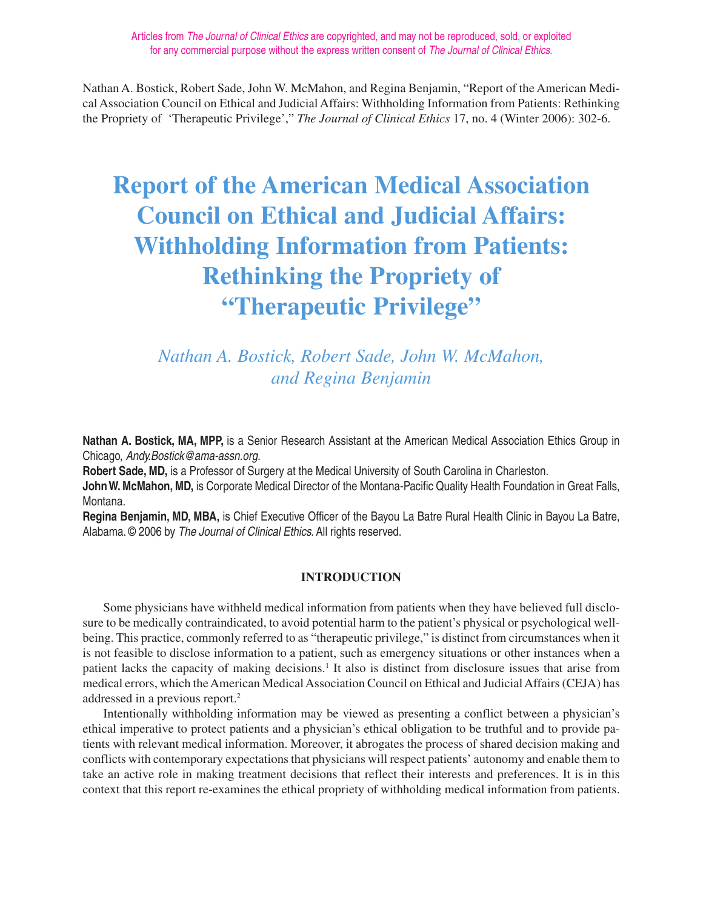# **Report of the American Medical Association Council on Ethical and Judicial Affairs: Withholding Information from Patients: Rethinking the Propriety of "Therapeutic Privilege"**

# *Nathan A. Bostick, Robert Sade, John W. McMahon, and Regina Benjamin*

**Nathan A. Bostick, MA, MPP,** is a Senior Research Assistant at the American Medical Association Ethics Group in Chicago, Andy.Bostick@ama-assn.org.

**Robert Sade, MD,** is a Professor of Surgery at the Medical University of South Carolina in Charleston.

**John W. McMahon, MD,** is Corporate Medical Director of the Montana-Pacific Quality Health Foundation in Great Falls, Montana.

**Regina Benjamin, MD, MBA,** is Chief Executive Officer of the Bayou La Batre Rural Health Clinic in Bayou La Batre, Alabama. © 2006 by The Journal of Clinical Ethics. All rights reserved.

# **INTRODUCTION**

Some physicians have withheld medical information from patients when they have believed full disclosure to be medically contraindicated, to avoid potential harm to the patient's physical or psychological wellbeing. This practice, commonly referred to as "therapeutic privilege," is distinct from circumstances when it is not feasible to disclose information to a patient, such as emergency situations or other instances when a patient lacks the capacity of making decisions.<sup>1</sup> It also is distinct from disclosure issues that arise from medical errors, which the American Medical Association Council on Ethical and Judicial Affairs (CEJA) has addressed in a previous report.2

Intentionally withholding information may be viewed as presenting a conflict between a physician's ethical imperative to protect patients and a physician's ethical obligation to be truthful and to provide patients with relevant medical information. Moreover, it abrogates the process of shared decision making and conflicts with contemporary expectations that physicians will respect patients' autonomy and enable them to take an active role in making treatment decisions that reflect their interests and preferences. It is in this context that this report re-examines the ethical propriety of withholding medical information from patients.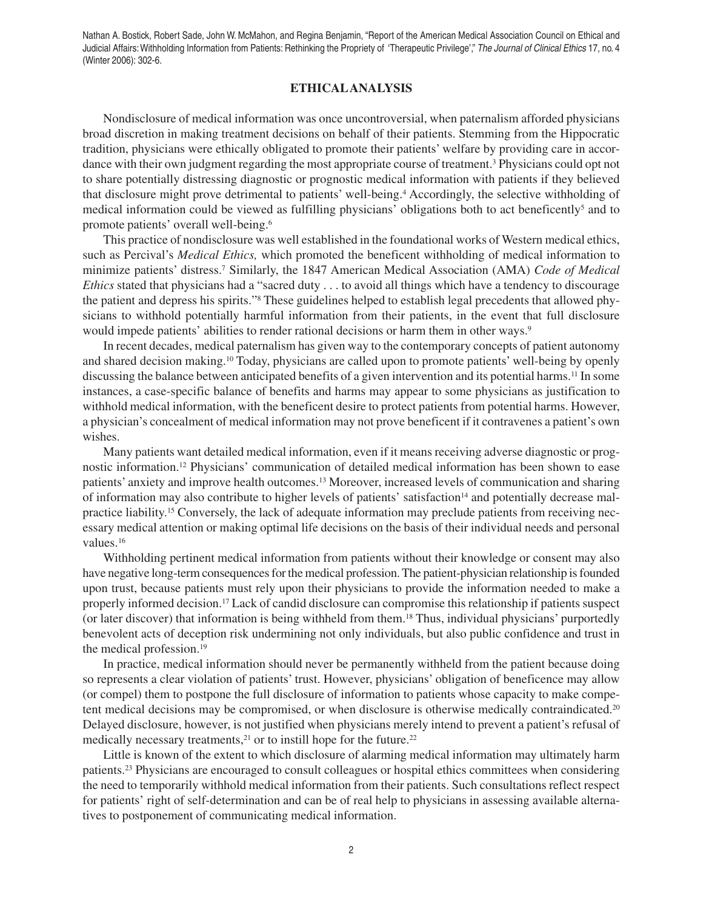#### **ETHICAL ANALYSIS**

Nondisclosure of medical information was once uncontroversial, when paternalism afforded physicians broad discretion in making treatment decisions on behalf of their patients. Stemming from the Hippocratic tradition, physicians were ethically obligated to promote their patients' welfare by providing care in accordance with their own judgment regarding the most appropriate course of treatment.<sup>3</sup> Physicians could opt not to share potentially distressing diagnostic or prognostic medical information with patients if they believed that disclosure might prove detrimental to patients' well-being.<sup>4</sup> Accordingly, the selective withholding of medical information could be viewed as fulfilling physicians' obligations both to act beneficently<sup>5</sup> and to promote patients' overall well-being.6

This practice of nondisclosure was well established in the foundational works of Western medical ethics, such as Percival's *Medical Ethics,* which promoted the beneficent withholding of medical information to minimize patients' distress.7 Similarly, the 1847 American Medical Association (AMA) *Code of Medical Ethics* stated that physicians had a "sacred duty . . . to avoid all things which have a tendency to discourage the patient and depress his spirits."8 These guidelines helped to establish legal precedents that allowed physicians to withhold potentially harmful information from their patients, in the event that full disclosure would impede patients' abilities to render rational decisions or harm them in other ways.<sup>9</sup>

In recent decades, medical paternalism has given way to the contemporary concepts of patient autonomy and shared decision making.10 Today, physicians are called upon to promote patients' well-being by openly discussing the balance between anticipated benefits of a given intervention and its potential harms.<sup>11</sup> In some instances, a case-specific balance of benefits and harms may appear to some physicians as justification to withhold medical information, with the beneficent desire to protect patients from potential harms. However, a physician's concealment of medical information may not prove beneficent if it contravenes a patient's own wishes.

Many patients want detailed medical information, even if it means receiving adverse diagnostic or prognostic information.12 Physicians' communication of detailed medical information has been shown to ease patients' anxiety and improve health outcomes.<sup>13</sup> Moreover, increased levels of communication and sharing of information may also contribute to higher levels of patients' satisfaction<sup>14</sup> and potentially decrease malpractice liability.15 Conversely, the lack of adequate information may preclude patients from receiving necessary medical attention or making optimal life decisions on the basis of their individual needs and personal values.<sup>16</sup>

Withholding pertinent medical information from patients without their knowledge or consent may also have negative long-term consequences for the medical profession. The patient-physician relationship is founded upon trust, because patients must rely upon their physicians to provide the information needed to make a properly informed decision.17 Lack of candid disclosure can compromise this relationship if patients suspect (or later discover) that information is being withheld from them.18 Thus, individual physicians' purportedly benevolent acts of deception risk undermining not only individuals, but also public confidence and trust in the medical profession.<sup>19</sup>

In practice, medical information should never be permanently withheld from the patient because doing so represents a clear violation of patients' trust. However, physicians' obligation of beneficence may allow (or compel) them to postpone the full disclosure of information to patients whose capacity to make competent medical decisions may be compromised, or when disclosure is otherwise medically contraindicated.<sup>20</sup> Delayed disclosure, however, is not justified when physicians merely intend to prevent a patient's refusal of medically necessary treatments,<sup>21</sup> or to instill hope for the future.<sup>22</sup>

Little is known of the extent to which disclosure of alarming medical information may ultimately harm patients.23 Physicians are encouraged to consult colleagues or hospital ethics committees when considering the need to temporarily withhold medical information from their patients. Such consultations reflect respect for patients' right of self-determination and can be of real help to physicians in assessing available alternatives to postponement of communicating medical information.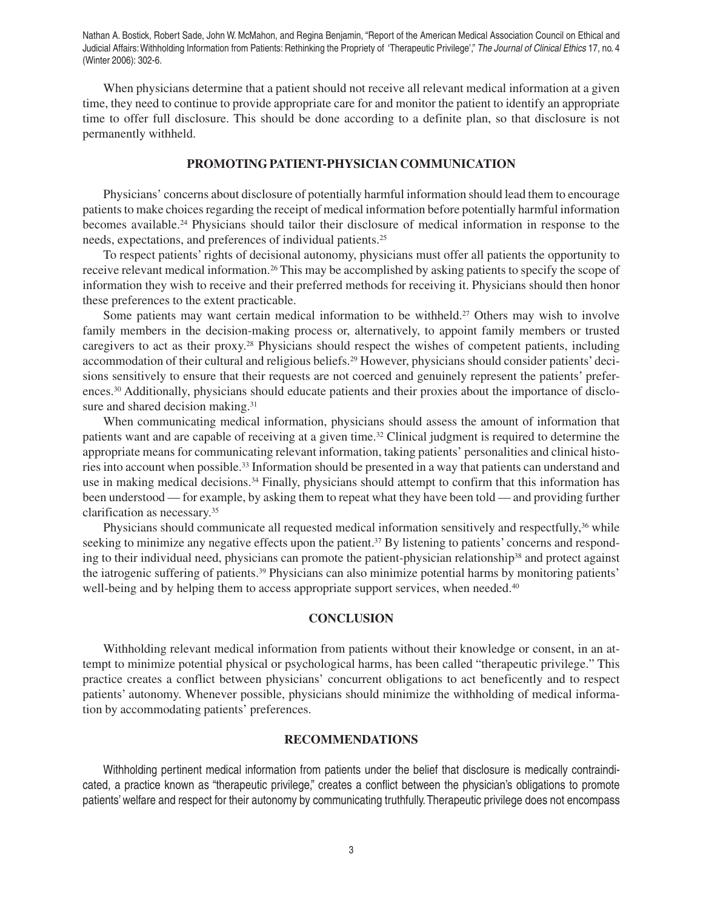When physicians determine that a patient should not receive all relevant medical information at a given time, they need to continue to provide appropriate care for and monitor the patient to identify an appropriate time to offer full disclosure. This should be done according to a definite plan, so that disclosure is not permanently withheld.

## **PROMOTING PATIENT-PHYSICIAN COMMUNICATION**

Physicians' concerns about disclosure of potentially harmful information should lead them to encourage patients to make choices regarding the receipt of medical information before potentially harmful information becomes available.24 Physicians should tailor their disclosure of medical information in response to the needs, expectations, and preferences of individual patients.25

To respect patients' rights of decisional autonomy, physicians must offer all patients the opportunity to receive relevant medical information.26 This may be accomplished by asking patients to specify the scope of information they wish to receive and their preferred methods for receiving it. Physicians should then honor these preferences to the extent practicable.

Some patients may want certain medical information to be withheld.<sup>27</sup> Others may wish to involve family members in the decision-making process or, alternatively, to appoint family members or trusted caregivers to act as their proxy.28 Physicians should respect the wishes of competent patients, including accommodation of their cultural and religious beliefs.<sup>29</sup> However, physicians should consider patients' decisions sensitively to ensure that their requests are not coerced and genuinely represent the patients' preferences.30 Additionally, physicians should educate patients and their proxies about the importance of disclosure and shared decision making.<sup>31</sup>

When communicating medical information, physicians should assess the amount of information that patients want and are capable of receiving at a given time.32 Clinical judgment is required to determine the appropriate means for communicating relevant information, taking patients' personalities and clinical histories into account when possible.33 Information should be presented in a way that patients can understand and use in making medical decisions.<sup>34</sup> Finally, physicians should attempt to confirm that this information has been understood — for example, by asking them to repeat what they have been told — and providing further clarification as necessary.35

Physicians should communicate all requested medical information sensitively and respectfully,<sup>36</sup> while seeking to minimize any negative effects upon the patient.<sup>37</sup> By listening to patients' concerns and responding to their individual need, physicians can promote the patient-physician relationship<sup>38</sup> and protect against the iatrogenic suffering of patients.39 Physicians can also minimize potential harms by monitoring patients' well-being and by helping them to access appropriate support services, when needed.<sup>40</sup>

## **CONCLUSION**

Withholding relevant medical information from patients without their knowledge or consent, in an attempt to minimize potential physical or psychological harms, has been called "therapeutic privilege." This practice creates a conflict between physicians' concurrent obligations to act beneficently and to respect patients' autonomy. Whenever possible, physicians should minimize the withholding of medical information by accommodating patients' preferences.

#### **RECOMMENDATIONS**

Withholding pertinent medical information from patients under the belief that disclosure is medically contraindicated, a practice known as "therapeutic privilege," creates a conflict between the physician's obligations to promote patients' welfare and respect for their autonomy by communicating truthfully. Therapeutic privilege does not encompass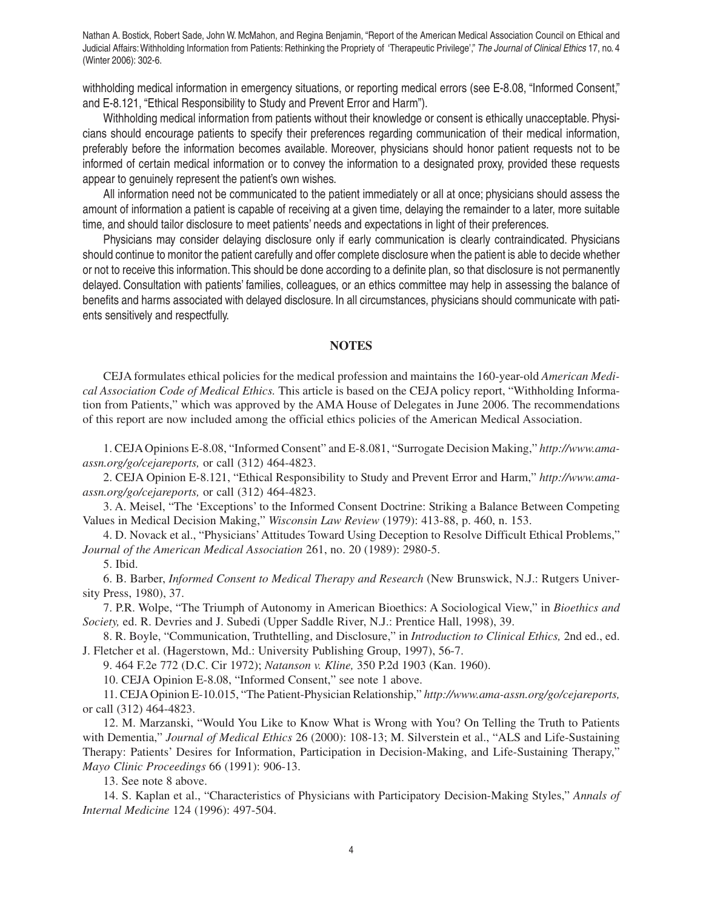withholding medical information in emergency situations, or reporting medical errors (see E-8.08, "Informed Consent," and E-8.121, "Ethical Responsibility to Study and Prevent Error and Harm").

Withholding medical information from patients without their knowledge or consent is ethically unacceptable. Physicians should encourage patients to specify their preferences regarding communication of their medical information, preferably before the information becomes available. Moreover, physicians should honor patient requests not to be informed of certain medical information or to convey the information to a designated proxy, provided these requests appear to genuinely represent the patient's own wishes.

All information need not be communicated to the patient immediately or all at once; physicians should assess the amount of information a patient is capable of receiving at a given time, delaying the remainder to a later, more suitable time, and should tailor disclosure to meet patients' needs and expectations in light of their preferences.

Physicians may consider delaying disclosure only if early communication is clearly contraindicated. Physicians should continue to monitor the patient carefully and offer complete disclosure when the patient is able to decide whether or not to receive this information. This should be done according to a definite plan, so that disclosure is not permanently delayed. Consultation with patients' families, colleagues, or an ethics committee may help in assessing the balance of benefits and harms associated with delayed disclosure. In all circumstances, physicians should communicate with patients sensitively and respectfully.

#### **NOTES**

CEJA formulates ethical policies for the medical profession and maintains the 160-year-old *American Medical Association Code of Medical Ethics.* This article is based on the CEJA policy report, "Withholding Information from Patients," which was approved by the AMA House of Delegates in June 2006. The recommendations of this report are now included among the official ethics policies of the American Medical Association.

1. CEJA Opinions E-8.08, "Informed Consent" and E-8.081, "Surrogate Decision Making," *http://www.amaassn.org/go/cejareports,* or call (312) 464-4823.

2. CEJA Opinion E-8.121, "Ethical Responsibility to Study and Prevent Error and Harm," *http://www.amaassn.org/go/cejareports,* or call (312) 464-4823.

3. A. Meisel, "The 'Exceptions' to the Informed Consent Doctrine: Striking a Balance Between Competing Values in Medical Decision Making," *Wisconsin Law Review* (1979): 413-88, p. 460, n. 153.

4. D. Novack et al., "Physicians' Attitudes Toward Using Deception to Resolve Difficult Ethical Problems," *Journal of the American Medical Association* 261, no. 20 (1989): 2980-5.

#### 5. Ibid.

6. B. Barber, *Informed Consent to Medical Therapy and Research* (New Brunswick, N.J.: Rutgers University Press, 1980), 37.

7. P.R. Wolpe, "The Triumph of Autonomy in American Bioethics: A Sociological View," in *Bioethics and Society,* ed. R. Devries and J. Subedi (Upper Saddle River, N.J.: Prentice Hall, 1998), 39.

8. R. Boyle, "Communication, Truthtelling, and Disclosure," in *Introduction to Clinical Ethics,* 2nd ed., ed. J. Fletcher et al. (Hagerstown, Md.: University Publishing Group, 1997), 56-7.

9. 464 F.2e 772 (D.C. Cir 1972); *Natanson v. Kline,* 350 P.2d 1903 (Kan. 1960).

10. CEJA Opinion E-8.08, "Informed Consent," see note 1 above.

11. CEJA Opinion E-10.015, "The Patient-Physician Relationship," *http://www.ama-assn.org/go/cejareports,* or call (312) 464-4823.

12. M. Marzanski, "Would You Like to Know What is Wrong with You? On Telling the Truth to Patients with Dementia," *Journal of Medical Ethics* 26 (2000): 108-13; M. Silverstein et al., "ALS and Life-Sustaining Therapy: Patients' Desires for Information, Participation in Decision-Making, and Life-Sustaining Therapy," *Mayo Clinic Proceedings* 66 (1991): 906-13.

13. See note 8 above.

14. S. Kaplan et al., "Characteristics of Physicians with Participatory Decision-Making Styles," *Annals of Internal Medicine* 124 (1996): 497-504.